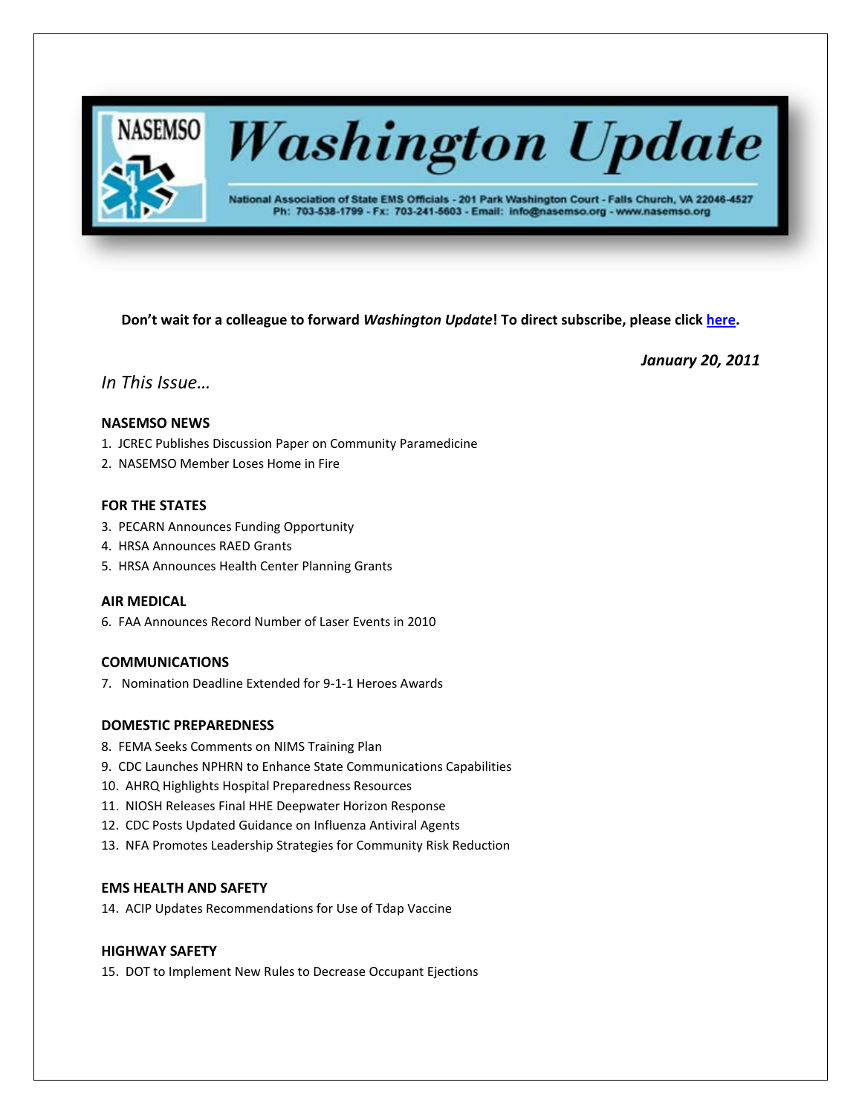

# **Washington Update**

National Association of State EMS Officials - 201 Park Washington Court - Falls Church, VA 22046-4527 Ph: 703-538-1799 - Fx: 703-241-5603 - Email: info@nasemso.org - www.nasemso.org

**Don't wait for a colleague to forward** *Washington Update***! To direct subscribe, please click [here.](http://lists.nasemso.org/read/all_forums/subscribe?name=wu%20)**

*January 20, 2011*

## *In This Issue…*

## **NASEMSO NEWS**

- 1. JCREC Publishes Discussion Paper on Community Paramedicine
- 2. NASEMSO Member Loses Home in Fire

## **FOR THE STATES**

- 3. PECARN Announces Funding Opportunity
- 4. HRSA Announces RAED Grants
- 5. HRSA Announces Health Center Planning Grants

## **AIR MEDICAL**

6. FAA Announces Record Number of Laser Events in 2010

## **COMMUNICATIONS**

7. Nomination Deadline Extended for 9-1-1 Heroes Awards

## **DOMESTIC PREPAREDNESS**

- 8. FEMA Seeks Comments on NIMS Training Plan
- 9. CDC Launches NPHRN to Enhance State Communications Capabilities
- 10. AHRQ Highlights Hospital Preparedness Resources
- 11. NIOSH Releases Final HHE Deepwater Horizon Response
- 12. CDC Posts Updated Guidance on Influenza Antiviral Agents
- 13. NFA Promotes Leadership Strategies for Community Risk Reduction

## **EMS HEALTH AND SAFETY**

14. ACIP Updates Recommendations for Use of Tdap Vaccine

## **HIGHWAY SAFETY**

15. DOT to Implement New Rules to Decrease Occupant Ejections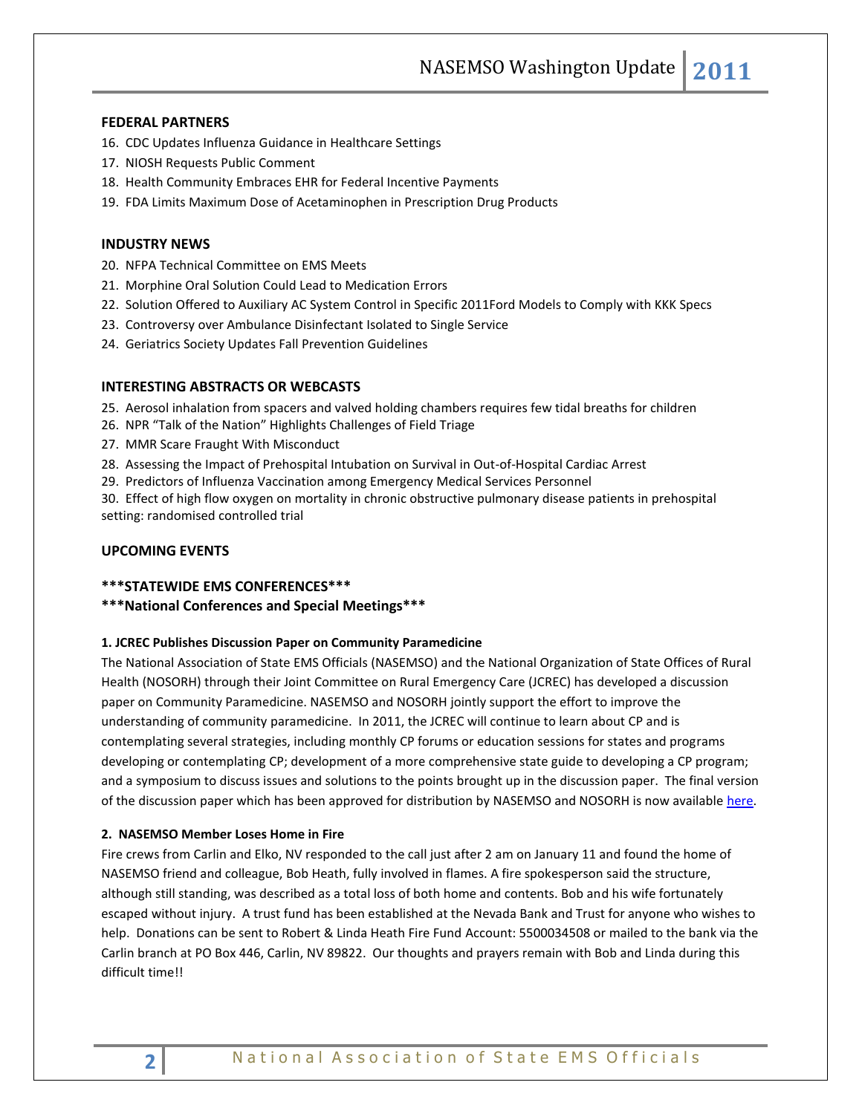## **FEDERAL PARTNERS**

- 16. CDC Updates Influenza Guidance in Healthcare Settings
- 17. NIOSH Requests Public Comment
- 18. Health Community Embraces EHR for Federal Incentive Payments
- 19. FDA Limits Maximum Dose of Acetaminophen in Prescription Drug Products

## **INDUSTRY NEWS**

- 20. NFPA Technical Committee on EMS Meets
- 21. Morphine Oral Solution Could Lead to Medication Errors
- 22. Solution Offered to Auxiliary AC System Control in Specific 2011Ford Models to Comply with KKK Specs
- 23. Controversy over Ambulance Disinfectant Isolated to Single Service
- 24. Geriatrics Society Updates Fall Prevention Guidelines

## **INTERESTING ABSTRACTS OR WEBCASTS**

25. Aerosol inhalation from spacers and valved holding chambers requires few tidal breaths for children

- 26. NPR "Talk of the Nation" Highlights Challenges of Field Triage
- 27. MMR Scare Fraught With Misconduct
- 28. Assessing the Impact of Prehospital Intubation on Survival in Out-of-Hospital Cardiac Arrest
- 29. Predictors of Influenza Vaccination among Emergency Medical Services Personnel

30. Effect of high flow oxygen on mortality in chronic obstructive pulmonary disease patients in prehospital setting: randomised controlled trial

## **UPCOMING EVENTS**

- **\*\*\*STATEWIDE EMS CONFERENCES\*\*\***
- **\*\*\*National Conferences and Special Meetings\*\*\***

#### **1. JCREC Publishes Discussion Paper on Community Paramedicine**

The National Association of State EMS Officials (NASEMSO) and the National Organization of State Offices of Rural Health (NOSORH) through their Joint Committee on Rural Emergency Care (JCREC) has developed a discussion paper on Community Paramedicine. NASEMSO and NOSORH jointly support the effort to improve the understanding of community paramedicine. In 2011, the JCREC will continue to learn about CP and is contemplating several strategies, including monthly CP forums or education sessions for states and programs developing or contemplating CP; development of a more comprehensive state guide to developing a CP program; and a symposium to discuss issues and solutions to the points brought up in the discussion paper. The final version of the discussion paper which has been approved for distribution by NASEMSO and NOSORH is now availabl[e here.](http://www.nasemso.org/Projects/RuralEMS/documents/CPDiscussionPaper.pdf)

### **2. NASEMSO Member Loses Home in Fire**

Fire crews from Carlin and Elko, NV responded to the call just after 2 am on January 11 and found the home of NASEMSO friend and colleague, Bob Heath, fully involved in flames. A fire spokesperson said the structure, although still standing, was described as a total loss of both home and contents. Bob and his wife fortunately escaped without injury. A trust fund has been established at the Nevada Bank and Trust for anyone who wishes to help. Donations can be sent to Robert & Linda Heath Fire Fund Account: 5500034508 or mailed to the bank via the Carlin branch at PO Box 446, Carlin, NV 89822. Our thoughts and prayers remain with Bob and Linda during this difficult time!!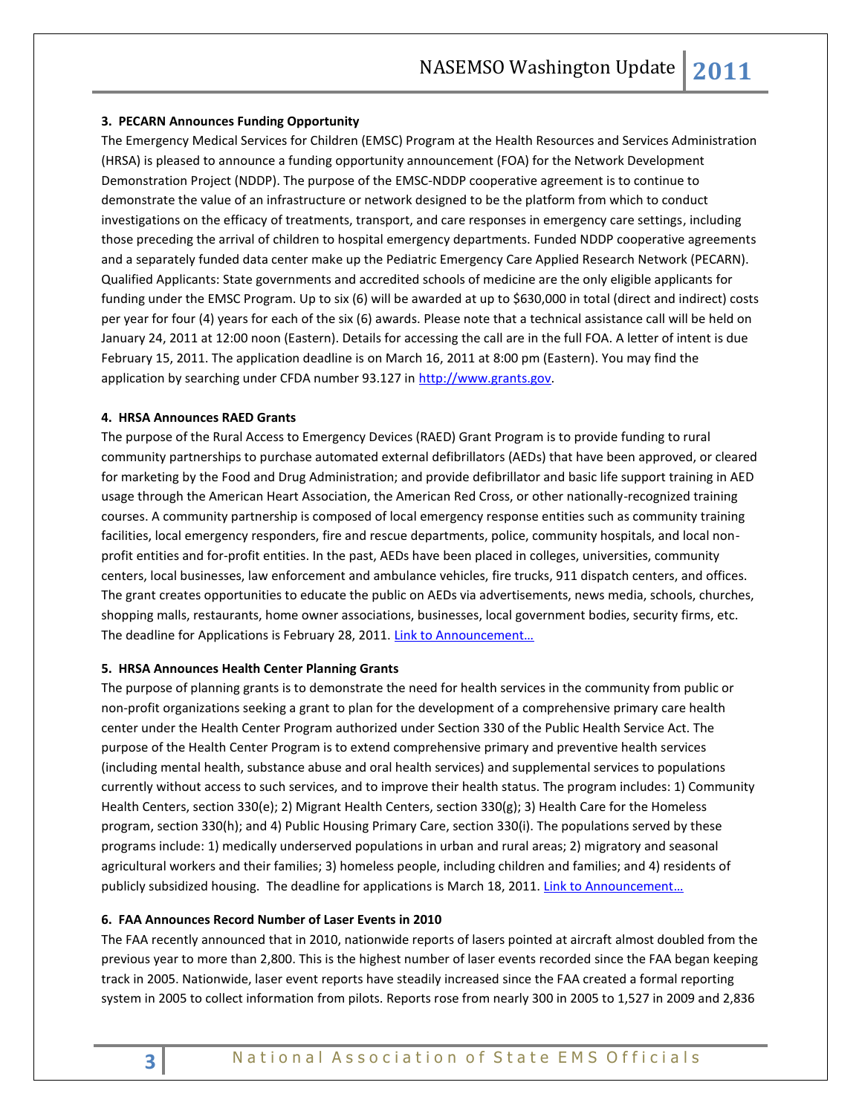## **3. PECARN Announces Funding Opportunity**

The Emergency Medical Services for Children (EMSC) Program at the Health Resources and Services Administration (HRSA) is pleased to announce a funding opportunity announcement (FOA) for the Network Development Demonstration Project (NDDP). The purpose of the EMSC-NDDP cooperative agreement is to continue to demonstrate the value of an infrastructure or network designed to be the platform from which to conduct investigations on the efficacy of treatments, transport, and care responses in emergency care settings, including those preceding the arrival of children to hospital emergency departments. Funded NDDP cooperative agreements and a separately funded data center make up the Pediatric Emergency Care Applied Research Network (PECARN). Qualified Applicants: State governments and accredited schools of medicine are the only eligible applicants for funding under the EMSC Program. Up to six (6) will be awarded at up to \$630,000 in total (direct and indirect) costs per year for four (4) years for each of the six (6) awards. Please note that a technical assistance call will be held on January 24, 2011 at 12:00 noon (Eastern). Details for accessing the call are in the full FOA. A letter of intent is due February 15, 2011. The application deadline is on March 16, 2011 at 8:00 pm (Eastern). You may find the application by searching under CFDA number 93.127 in [http://www.grants.gov.](http://cl.publicaster.com/ClickThru.aspx?pubids=8731%7c414%7c166&digest=UBZd%2bA7cG1UmuSd84Dg66A&sysid=1)

## **4. HRSA Announces RAED Grants**

The purpose of the Rural Access to Emergency Devices (RAED) Grant Program is to provide funding to rural community partnerships to purchase automated external defibrillators (AEDs) that have been approved, or cleared for marketing by the Food and Drug Administration; and provide defibrillator and basic life support training in AED usage through the American Heart Association, the American Red Cross, or other nationally-recognized training courses. A community partnership is composed of local emergency response entities such as community training facilities, local emergency responders, fire and rescue departments, police, community hospitals, and local nonprofit entities and for-profit entities. In the past, AEDs have been placed in colleges, universities, community centers, local businesses, law enforcement and ambulance vehicles, fire trucks, 911 dispatch centers, and offices. The grant creates opportunities to educate the public on AEDs via advertisements, news media, schools, churches, shopping malls, restaurants, home owner associations, businesses, local government bodies, security firms, etc. The deadline for Applications is February 28, 2011. Link to Announcement...

#### **5. HRSA Announces Health Center Planning Grants**

The purpose of planning grants is to demonstrate the need for health services in the community from public or non-profit organizations seeking a grant to plan for the development of a comprehensive primary care health center under the Health Center Program authorized under Section 330 of the Public Health Service Act. The purpose of the Health Center Program is to extend comprehensive primary and preventive health services (including mental health, substance abuse and oral health services) and supplemental services to populations currently without access to such services, and to improve their health status. The program includes: 1) Community Health Centers, section 330(e); 2) Migrant Health Centers, section 330(g); 3) Health Care for the Homeless program, section 330(h); and 4) Public Housing Primary Care, section 330(i). The populations served by these programs include: 1) medically underserved populations in urban and rural areas; 2) migratory and seasonal agricultural workers and their families; 3) homeless people, including children and families; and 4) residents of publicly subsidized housing. The deadline for applications is March 18, 2011. Link to Announcement...

## **6. FAA Announces Record Number of Laser Events in 2010**

The FAA recently announced that in 2010, nationwide reports of lasers pointed at aircraft almost doubled from the previous year to more than 2,800. This is the highest number of laser events recorded since the FAA began keeping track in 2005. Nationwide, laser event reports have steadily increased since the FAA created a formal reporting system in 2005 to collect information from pilots. Reports rose from nearly 300 in 2005 to 1,527 in 2009 and 2,836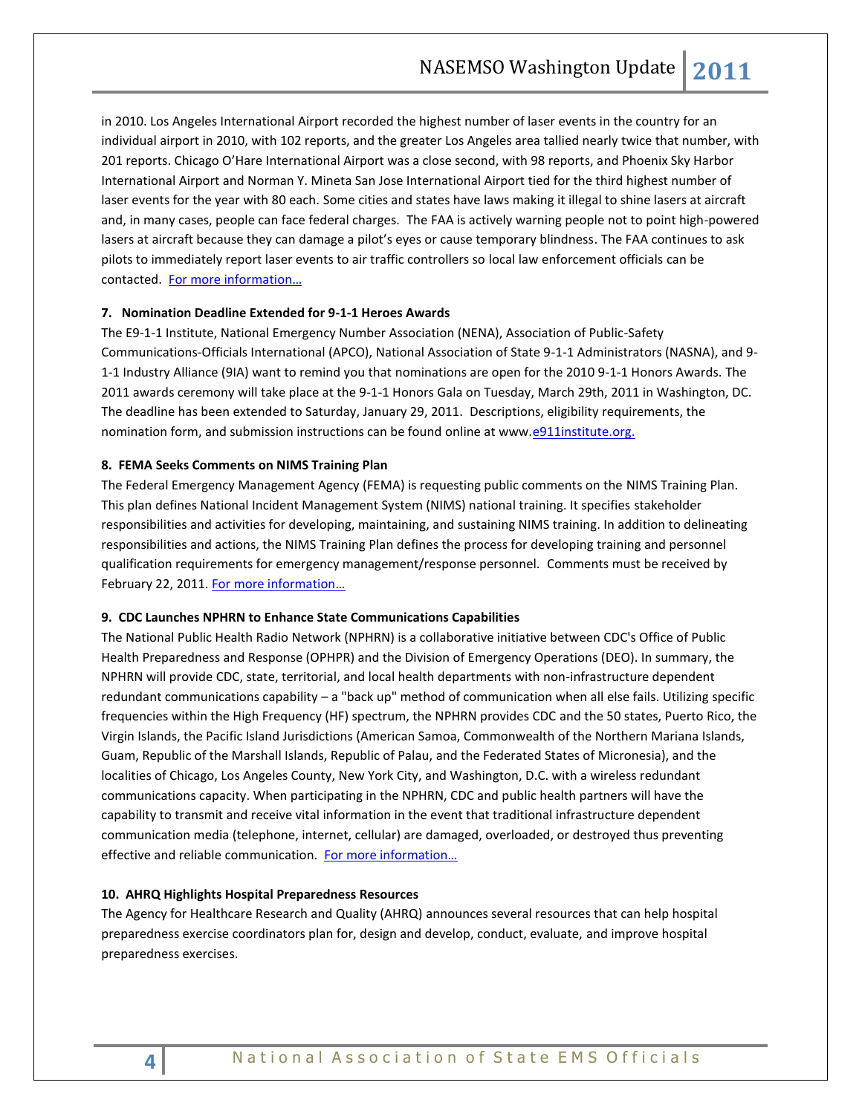in 2010. Los Angeles International Airport recorded the highest number of laser events in the country for an individual airport in 2010, with 102 reports, and the greater Los Angeles area tallied nearly twice that number, with 201 reports. Chicago O'Hare International Airport was a close second, with 98 reports, and Phoenix Sky Harbor International Airport and Norman Y. Mineta San Jose International Airport tied for the third highest number of laser events for the year with 80 each. Some cities and states have laws making it illegal to shine lasers at aircraft and, in many cases, people can face federal charges. The FAA is actively warning people not to point high-powered lasers at aircraft because they can damage a pilot's eyes or cause temporary blindness. The FAA continues to ask pilots to immediately report laser events to air traffic controllers so local law enforcement officials can be contacted. [For more information…](http://www.faa.gov/)

## **7. Nomination Deadline Extended for 9-1-1 Heroes Awards**

The E9-1-1 Institute, National Emergency Number Association (NENA), Association of Public-Safety Communications-Officials International (APCO), National Association of State 9-1-1 Administrators (NASNA), and 9- 1-1 Industry Alliance (9IA) want to remind you that nominations are open for the 2010 9-1-1 Honors Awards. The 2011 awards ceremony will take place at the 9-1-1 Honors Gala on Tuesday, March 29th, 2011 in Washington, DC. The deadline has been extended to Saturday, January 29, 2011. Descriptions, eligibility requirements, the nomination form, and submission instructions can be found online at www.e911institute.org.

## **8. FEMA Seeks Comments on NIMS Training Plan**

The Federal Emergency Management Agency (FEMA) is requesting public comments on the NIMS Training Plan. This plan defines National Incident Management System (NIMS) national training. It specifies stakeholder responsibilities and activities for developing, maintaining, and sustaining NIMS training. In addition to delineating responsibilities and actions, the NIMS Training Plan defines the process for developing training and personnel qualification requirements for emergency management/response personnel. Comments must be received by February 22, 2011. [For more information](http://www.gpo.gov/fdsys/pkg/FR-2011-01-20/pdf/2011-1111.pdf)…

## **9. CDC Launches NPHRN to Enhance State Communications Capabilities**

The National Public Health Radio Network (NPHRN) is a collaborative initiative between CDC's Office of Public Health Preparedness and Response (OPHPR) and the Division of Emergency Operations (DEO). In summary, the NPHRN will provide CDC, state, territorial, and local health departments with non-infrastructure dependent redundant communications capability – a "back up" method of communication when all else fails. Utilizing specific frequencies within the High Frequency (HF) spectrum, the NPHRN provides CDC and the 50 states, Puerto Rico, the Virgin Islands, the Pacific Island Jurisdictions (American Samoa, Commonwealth of the Northern Mariana Islands, Guam, Republic of the Marshall Islands, Republic of Palau, and the Federated States of Micronesia), and the localities of Chicago, Los Angeles County, New York City, and Washington, D.C. with a wireless redundant communications capacity. When participating in the NPHRN, CDC and public health partners will have the capability to transmit and receive vital information in the event that traditional infrastructure dependent communication media (telephone, internet, cellular) are damaged, overloaded, or destroyed thus preventing effective and reliable communication. For [more information…](http://emergency.cdc.gov/nphrn/)

## **10. AHRQ Highlights Hospital Preparedness Resources**

The Agency for Healthcare Research and Quality (AHRQ) announces several resources that can help hospital preparedness exercise coordinators plan for, design and develop, conduct, evaluate, and improve hospital preparedness exercises.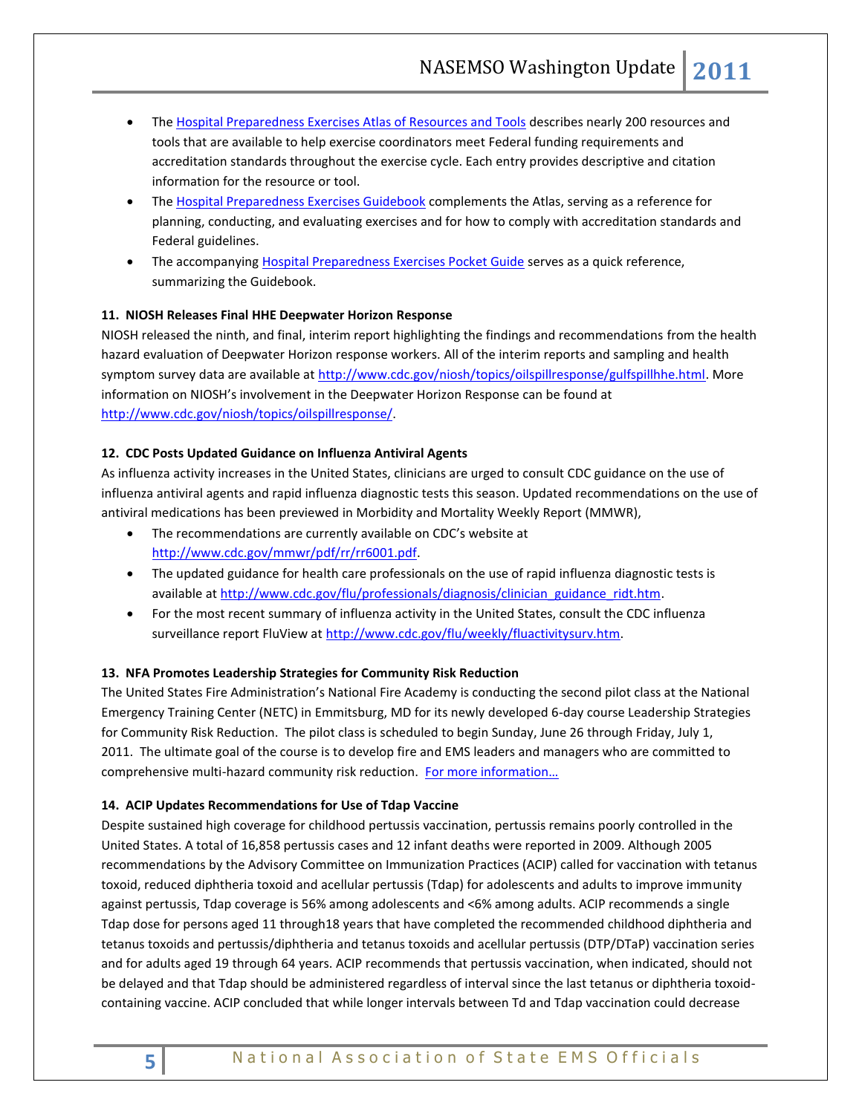- Th[e Hospital Preparedness Exercises Atlas of Resources and Tools](http://www.ahrq.gov/prep/hospatlas/) describes nearly 200 resources and tools that are available to help exercise coordinators meet Federal funding requirements and accreditation standards throughout the exercise cycle. Each entry provides descriptive and citation information for the resource or tool.
- Th[e Hospital Preparedness Exercises Guidebook](http://www.ahrq.gov/prep/hospexguide/) complements the Atlas, serving as a reference for planning, conducting, and evaluating exercises and for how to comply with accreditation standards and Federal guidelines.
- The accompanying **Hospital Preparedness Exercises Pocket Guide** serves as a quick reference, summarizing the Guidebook.

## **11. NIOSH Releases Final HHE Deepwater Horizon Response**

NIOSH released the ninth, and final, interim report highlighting the findings and recommendations from the health hazard evaluation of Deepwater Horizon response workers. All of the interim reports and sampling and health symptom survey data are available at [http://www.cdc.gov/niosh/topics/oilspillresponse/gulfspillhhe.html.](http://www.cdc.gov/niosh/topics/oilspillresponse/gulfspillhhe.html) More information on NIOSH's involvement in the Deepwater Horizon Response can be found at [http://www.cdc.gov/niosh/topics/oilspillresponse/.](http://www.cdc.gov/niosh/topics/oilspillresponse/)

## **12. CDC Posts Updated Guidance on Influenza Antiviral Agents**

As influenza activity increases in the United States, clinicians are urged to consult CDC guidance on the use of influenza antiviral agents and rapid influenza diagnostic tests this season. Updated recommendations on the use of antiviral medications has been previewed in Morbidity and Mortality Weekly Report (MMWR),

- The recommendations are currently available on CDC's website at [http://www.cdc.gov/mmwr/pdf/rr/rr6001.pdf.](http://www.cdc.gov/mmwr/pdf/rr/rr6001.pdf)
- The updated guidance for health care professionals on the use of rapid influenza diagnostic tests is available a[t http://www.cdc.gov/flu/professionals/diagnosis/clinician\\_guidance\\_ridt.htm.](http://www.cdc.gov/flu/professionals/diagnosis/clinician_guidance_ridt.htm)
- For the most recent summary of influenza activity in the United States, consult the CDC influenza surveillance report FluView a[t http://www.cdc.gov/flu/weekly/fluactivitysurv.htm.](http://www.cdc.gov/flu/weekly/fluactivitysurv.htm)

## **13. NFA Promotes Leadership Strategies for Community Risk Reduction**

The United States Fire Administration's National Fire Academy is conducting the second pilot class at the National Emergency Training Center (NETC) in Emmitsburg, MD for its newly developed 6-day course Leadership Strategies for Community Risk Reduction. The pilot class is scheduled to begin Sunday, June 26 through Friday, July 1, 2011. The ultimate goal of the course is to develop fire and EMS leaders and managers who are committed to comprehensive multi-hazard community risk reduction. [For more information…](http://www.usfra.org/forum/topics/student-recruitment-for-2)

## **14. ACIP Updates Recommendations for Use of Tdap Vaccine**

Despite sustained high coverage for childhood pertussis vaccination, pertussis remains poorly controlled in the United States. A total of 16,858 pertussis cases and 12 infant deaths were reported in 2009. Although 2005 recommendations by the Advisory Committee on Immunization Practices (ACIP) called for vaccination with tetanus toxoid, reduced diphtheria toxoid and acellular pertussis (Tdap) for adolescents and adults to improve immunity against pertussis, Tdap coverage is 56% among adolescents and <6% among adults. ACIP recommends a single Tdap dose for persons aged 11 through18 years that have completed the recommended childhood diphtheria and tetanus toxoids and pertussis/diphtheria and tetanus toxoids and acellular pertussis (DTP/DTaP) vaccination series and for adults aged 19 through 64 years. ACIP recommends that pertussis vaccination, when indicated, should not be delayed and that Tdap should be administered regardless of interval since the last tetanus or diphtheria toxoidcontaining vaccine. ACIP concluded that while longer intervals between Td and Tdap vaccination could decrease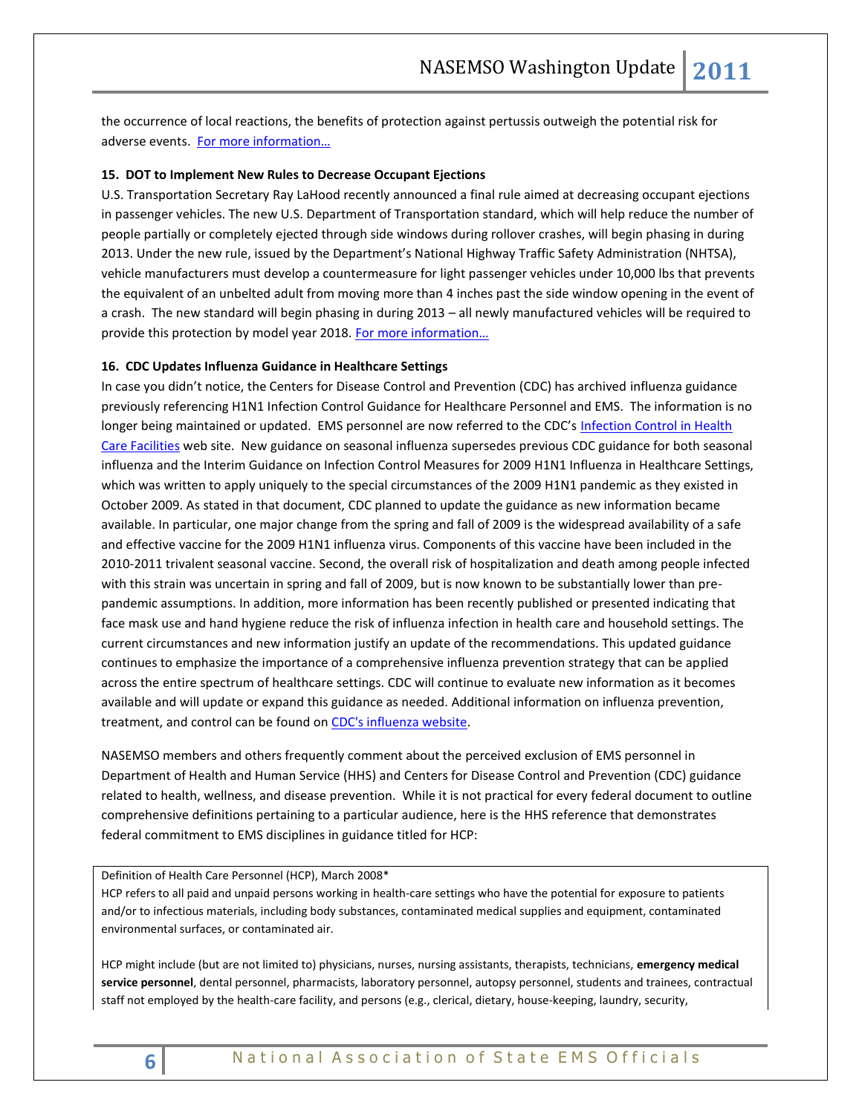the occurrence of local reactions, the benefits of protection against pertussis outweigh the potential risk for adverse events. [For more information…](http://www.cdc.gov/mmwr/preview/mmwrhtml/mm6001a4.htm?s_cid=mm6001a4_e&source=govdelivery)

## **15. DOT to Implement New Rules to Decrease Occupant Ejections**

U.S. Transportation Secretary Ray LaHood recently announced a final rule aimed at decreasing occupant ejections in passenger vehicles. The new U.S. Department of Transportation standard, which will help reduce the number of people partially or completely ejected through side windows during rollover crashes, will begin phasing in during 2013. Under the new rule, issued by the Department's National Highway Traffic Safety Administration (NHTSA), vehicle manufacturers must develop a countermeasure for light passenger vehicles under 10,000 lbs that prevents the equivalent of an unbelted adult from moving more than 4 inches past the side window opening in the event of a crash. The new standard will begin phasing in during 2013 – all newly manufactured vehicles will be required to provide this protection by model year 2018. For more information...

#### **16. CDC Updates Influenza Guidance in Healthcare Settings**

In case you didn't notice, the Centers for Disease Control and Prevention (CDC) has archived influenza guidance previously referencing H1N1 Infection Control Guidance for Healthcare Personnel and EMS. The information is no longer being maintained or updated. EMS personnel are now referred to the CDC's Infection Control in Health [Care Facilities](http://www.cdc.gov/flu/professionals/infectioncontrol/healthcaresettings.htm) web site. New guidance on seasonal influenza supersedes previous CDC guidance for both seasonal influenza and the Interim Guidance on Infection Control Measures for 2009 H1N1 Influenza in Healthcare Settings, which was written to apply uniquely to the special circumstances of the 2009 H1N1 pandemic as they existed in October 2009. As stated in that document, CDC planned to update the guidance as new information became available. In particular, one major change from the spring and fall of 2009 is the widespread availability of a safe and effective vaccine for the 2009 H1N1 influenza virus. Components of this vaccine have been included in the 2010-2011 trivalent seasonal vaccine. Second, the overall risk of hospitalization and death among people infected with this strain was uncertain in spring and fall of 2009, but is now known to be substantially lower than prepandemic assumptions. In addition, more information has been recently published or presented indicating that face mask use and hand hygiene reduce the risk of influenza infection in health care and household settings. The current circumstances and new information justify an update of the recommendations. This updated guidance continues to emphasize the importance of a comprehensive influenza prevention strategy that can be applied across the entire spectrum of healthcare settings. CDC will continue to evaluate new information as it becomes available and will update or expand this guidance as needed. Additional information on influenza prevention, treatment, and control can be found o[n CDC's influenza website.](http://www.cdc.gov/flu/)

NASEMSO members and others frequently comment about the perceived exclusion of EMS personnel in Department of Health and Human Service (HHS) and Centers for Disease Control and Prevention (CDC) guidance related to health, wellness, and disease prevention. While it is not practical for every federal document to outline comprehensive definitions pertaining to a particular audience, here is the HHS reference that demonstrates federal commitment to EMS disciplines in guidance titled for HCP:

Definition of Health Care Personnel (HCP), March 2008\*

HCP refers to all paid and unpaid persons working in health-care settings who have the potential for exposure to patients and/or to infectious materials, including body substances, contaminated medical supplies and equipment, contaminated environmental surfaces, or contaminated air.

HCP might include (but are not limited to) physicians, nurses, nursing assistants, therapists, technicians, **emergency medical service personnel**, dental personnel, pharmacists, laboratory personnel, autopsy personnel, students and trainees, contractual staff not employed by the health-care facility, and persons (e.g., clerical, dietary, house-keeping, laundry, security,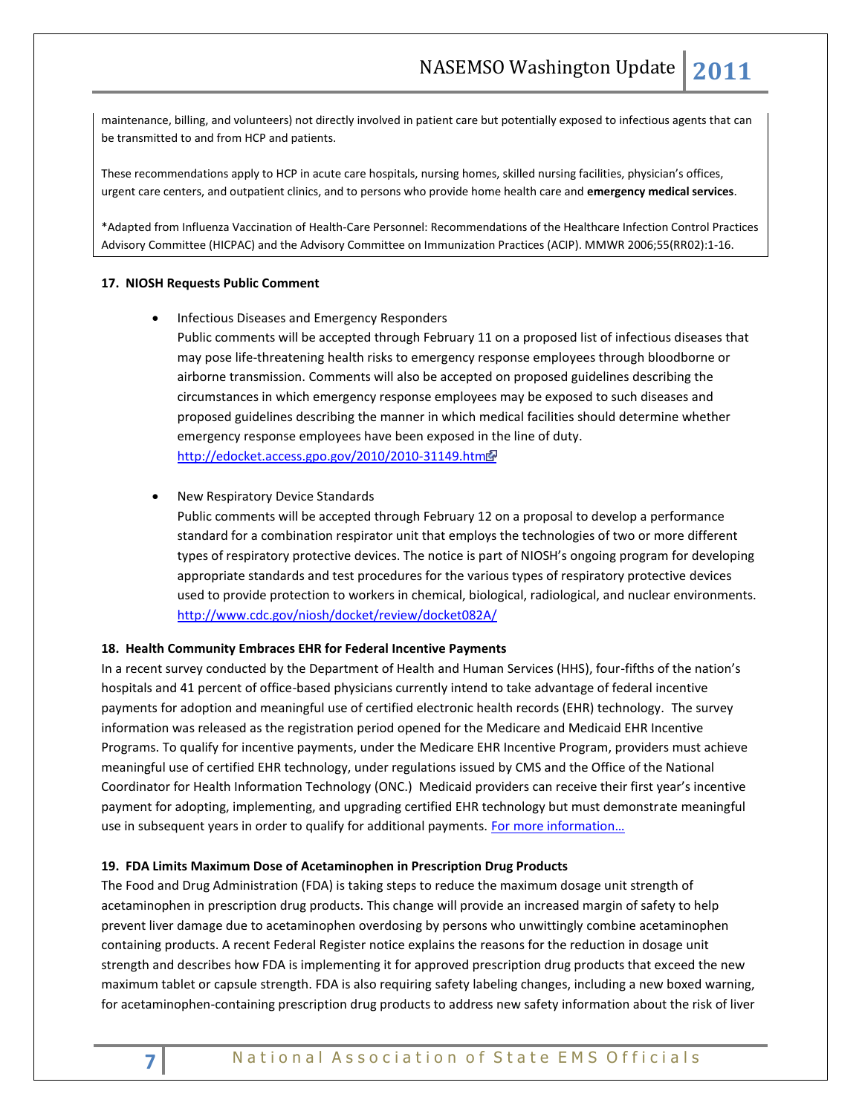maintenance, billing, and volunteers) not directly involved in patient care but potentially exposed to infectious agents that can be transmitted to and from HCP and patients.

These recommendations apply to HCP in acute care hospitals, nursing homes, skilled nursing facilities, physician's offices, urgent care centers, and outpatient clinics, and to persons who provide home health care and **emergency medical services**.

\*Adapted from Influenza Vaccination of Health-Care Personnel: Recommendations of the Healthcare Infection Control Practices Advisory Committee (HICPAC) and the Advisory Committee on Immunization Practices (ACIP). MMWR 2006;55(RR02):1-16.

#### **17. NIOSH Requests Public Comment**

**•** Infectious Diseases and Emergency Responders

Public comments will be accepted through February 11 on a proposed list of infectious diseases that may pose life-threatening health risks to emergency response employees through bloodborne or airborne transmission. Comments will also be accepted on proposed guidelines describing the circumstances in which emergency response employees may be exposed to such diseases and proposed guidelines describing the manner in which medical facilities should determine whether emergency response employees have been exposed in the line of duty. <http://edocket.access.gpo.gov/2010/2010-31149.htm>

#### New Respiratory Device Standards

Public comments will be accepted through February 12 on a proposal to develop a performance standard for a combination respirator unit that employs the technologies of two or more different types of respiratory protective devices. The notice is part of NIOSH's ongoing program for developing appropriate standards and test procedures for the various types of respiratory protective devices used to provide protection to workers in chemical, biological, radiological, and nuclear environments. <http://www.cdc.gov/niosh/docket/review/docket082A/>

## **18. Health Community Embraces EHR for Federal Incentive Payments**

In a recent survey conducted by the Department of Health and Human Services (HHS), four-fifths of the nation's hospitals and 41 percent of office-based physicians currently intend to take advantage of federal incentive payments for adoption and meaningful use of certified electronic health records (EHR) technology. The survey information was released as the registration period opened for the Medicare and Medicaid EHR Incentive Programs. To qualify for incentive payments, under the Medicare EHR Incentive Program, providers must achieve meaningful use of certified EHR technology, under regulations issued by CMS and the Office of the National Coordinator for Health Information Technology (ONC.) Medicaid providers can receive their first year's incentive payment for adopting, implementing, and upgrading certified EHR technology but must demonstrate meaningful use in subsequent years in order to qualify for additional payments. For more information...

## **19. FDA Limits Maximum Dose of Acetaminophen in Prescription Drug Products**

The Food and Drug Administration (FDA) is taking steps to reduce the maximum dosage unit strength of acetaminophen in prescription drug products. This change will provide an increased margin of safety to help prevent liver damage due to acetaminophen overdosing by persons who unwittingly combine acetaminophen containing products. A recent Federal Register notice explains the reasons for the reduction in dosage unit strength and describes how FDA is implementing it for approved prescription drug products that exceed the new maximum tablet or capsule strength. FDA is also requiring safety labeling changes, including a new boxed warning, for acetaminophen-containing prescription drug products to address new safety information about the risk of liver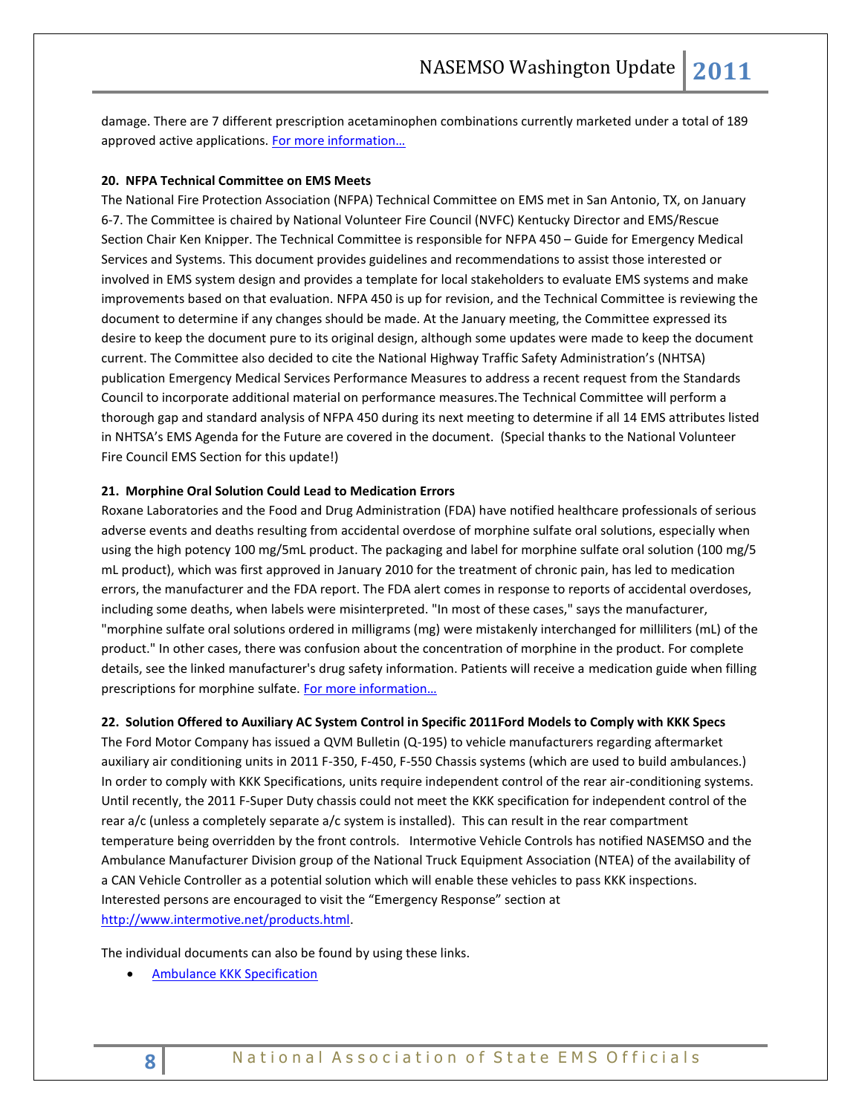damage. There are 7 different prescription acetaminophen combinations currently marketed under a total of 189 approved active applications. [For more information…](http://www.gpo.gov/fdsys/pkg/FR-2011-01-14/pdf/2011-709.pdf)

## **20. NFPA Technical Committee on EMS Meets**

The National Fire Protection Association (NFPA) Technical Committee on EMS met in San Antonio, TX, on January 6-7. The Committee is chaired by National Volunteer Fire Council (NVFC) Kentucky Director and EMS/Rescue Section Chair Ken Knipper. The Technical Committee is responsible for NFPA 450 – Guide for Emergency Medical Services and Systems. This document provides guidelines and recommendations to assist those interested or involved in EMS system design and provides a template for local stakeholders to evaluate EMS systems and make improvements based on that evaluation. NFPA 450 is up for revision, and the Technical Committee is reviewing the document to determine if any changes should be made. At the January meeting, the Committee expressed its desire to keep the document pure to its original design, although some updates were made to keep the document current. The Committee also decided to cite the National Highway Traffic Safety Administration's (NHTSA) publication Emergency Medical Services Performance Measures to address a recent request from the Standards Council to incorporate additional material on performance measures.The Technical Committee will perform a thorough gap and standard analysis of NFPA 450 during its next meeting to determine if all 14 EMS attributes listed in NHTSA's EMS Agenda for the Future are covered in the document. (Special thanks to the National Volunteer Fire Council EMS Section for this update!)

## **21. Morphine Oral Solution Could Lead to Medication Errors**

Roxane Laboratories and the Food and Drug Administration (FDA) have notified healthcare professionals of serious adverse events and deaths resulting from accidental overdose of morphine sulfate oral solutions, especially when using the high potency 100 mg/5mL product. The packaging and label for morphine sulfate oral solution (100 mg/5 mL product), which was first approved in January 2010 for the treatment of chronic pain, has led to medication errors, the manufacturer and the FDA report. The FDA alert comes in response to reports of accidental overdoses, including some deaths, when labels were misinterpreted. "In most of these cases," says the manufacturer, "morphine sulfate oral solutions ordered in milligrams (mg) were mistakenly interchanged for milliliters (mL) of the product." In other cases, there was confusion about the concentration of morphine in the product. For complete details, see the linked manufacturer's drug safety information. Patients will receive a medication guide when filling prescriptions for morphine sulfate. For more information...

## **22. Solution Offered to Auxiliary AC System Control in Specific 2011Ford Models to Comply with KKK Specs**

The Ford Motor Company has issued a QVM Bulletin (Q-195) to vehicle manufacturers regarding aftermarket auxiliary air conditioning units in 2011 F-350, F-450, F-550 Chassis systems (which are used to build ambulances.) In order to comply with KKK Specifications, units require independent control of the rear air-conditioning systems. Until recently, the 2011 F-Super Duty chassis could not meet the KKK specification for independent control of the rear a/c (unless a completely separate a/c system is installed). This can result in the rear compartment temperature being overridden by the front controls. Intermotive Vehicle Controls has notified NASEMSO and the Ambulance Manufacturer Division group of the National Truck Equipment Association (NTEA) of the availability of a CAN Vehicle Controller as a potential solution which will enable these vehicles to pass KKK inspections. Interested persons are encouraged to visit the "Emergency Response" section at [http://www.intermotive.net/products.html.](http://www.intermotive.net/products.html)

The individual documents can also be found by using these links.

**•** [Ambulance KKK Specification](http://www.intermotive.net/Emergency%20Vehicles/KKK-A-1822F.pdf)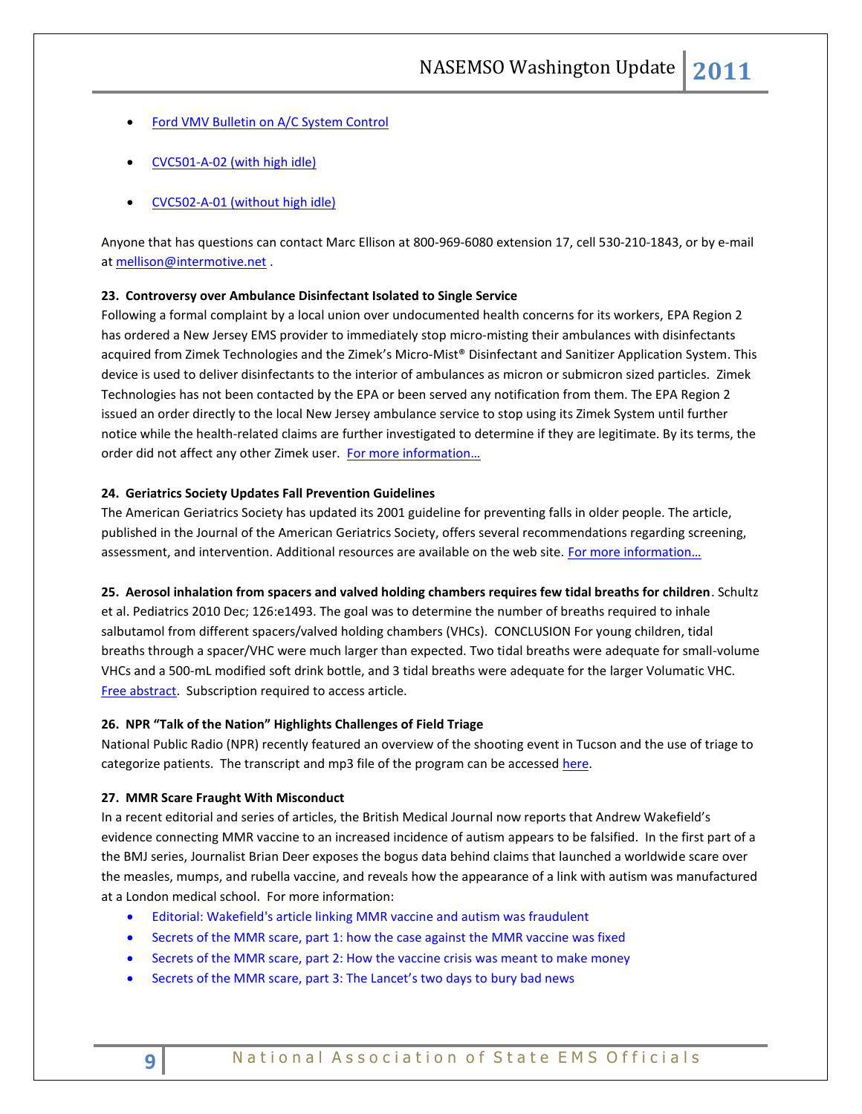- [Ford VMV Bulletin on A/C System Control](http://www.intermotive.net/Emergency%20Vehicles/Q-195.pdf)
- [CVC501-A-02 \(with high idle\)](http://www.intermotive.net/Emergency%20Vehicles/CVC501-A-02.pdf)
- [CVC502-A-01 \(without high idle\)](http://www.intermotive.net/Emergency%20Vehicles/CVC502-A-01.pdf)

Anyone that has questions can contact Marc Ellison at 800-969-6080 extension 17, cell 530-210-1843, or by e-mail a[t mellison@intermotive.net](mailto:mellison@intermotive.net).

## **23. Controversy over Ambulance Disinfectant Isolated to Single Service**

Following a formal complaint by a local union over undocumented health concerns for its workers, EPA Region 2 has ordered a New Jersey EMS provider to immediately stop micro-misting their ambulances with disinfectants acquired from Zimek Technologies and the Zimek's Micro-Mist® Disinfectant and Sanitizer Application System. This device is used to deliver disinfectants to the interior of ambulances as micron or submicron sized particles. Zimek Technologies has not been contacted by the EPA or been served any notification from them. The EPA Region 2 issued an order directly to the local New Jersey ambulance service to stop using its Zimek System until further notice while the health-related claims are further investigated to determine if they are legitimate. By its terms, the order did not affect any other Zimek user. For more information...

#### **24. Geriatrics Society Updates Fall Prevention Guidelines**

The American Geriatrics Society has updated its 2001 guideline for preventing falls in older people. The article, published in the Journal of the American Geriatrics Society, offers several recommendations regarding screening, assessment, and intervention. Additional resources are available on the web site. [For more information…](http://www.americangeriatrics.org/health_care_professionals/clinical_practice/clinical_guidelines_recommendations/2010/)

#### **25. Aerosol inhalation from spacers and valved holding chambers requires few tidal breaths for children**. Schultz

et al. Pediatrics 2010 Dec; 126:e1493. The goal was to determine the number of breaths required to inhale salbutamol from different spacers/valved holding chambers (VHCs). CONCLUSION For young children, tidal breaths through a spacer/VHC were much larger than expected. Two tidal breaths were adequate for small-volume VHCs and a 500-mL modified soft drink bottle, and 3 tidal breaths were adequate for the larger Volumatic VHC. [Free abstract.](http://pediatrics.aappublications.org/cgi/content/abstract/126/6/e1493) Subscription required to access article.

#### **26. NPR "Talk of the Nation" Highlights Challenges of Field Triage**

National Public Radio (NPR) recently featured an overview of the shooting event in Tucson and the use of triage to categorize patients. The transcript and mp3 file of the program can be accessed [here.](http://www.npr.org/2011/01/18/133024230/first-responders-triage-victims-to-save-lives)

#### **27. MMR Scare Fraught With Misconduct**

In a recent editorial and series of articles, the British Medical Journal now reports that Andrew Wakefield's evidence connecting MMR vaccine to an increased incidence of autism appears to be falsified. In the first part of a the BMJ series, Journalist Brian Deer exposes the bogus data behind claims that launched a worldwide scare over the measles, mumps, and rubella vaccine, and reveals how the appearance of a link with autism was manufactured at a London medical school. For more information:

- [Editorial: Wakefield's article linking MMR vaccine and autism was fraudulent](http://www.bmj.com/cgi/doi/10.1136/bmj.c7452)
- [Secrets of the MMR scare, part 1: how the case against the MMR vaccine was fixed](http://www.bmj.com/cgi/doi/10.1136/bmj.c5347)
- [Secrets of the MMR scare, part 2: How the vaccine crisis was meant to make money](http://www.bmj.com/cgi/doi/10.1136/bmj.c5258)
- [Secrets of the MMR scare, part 3: The Lancet's two days to](http://www.bmj.com/content/342/bmj.c7001) bury bad news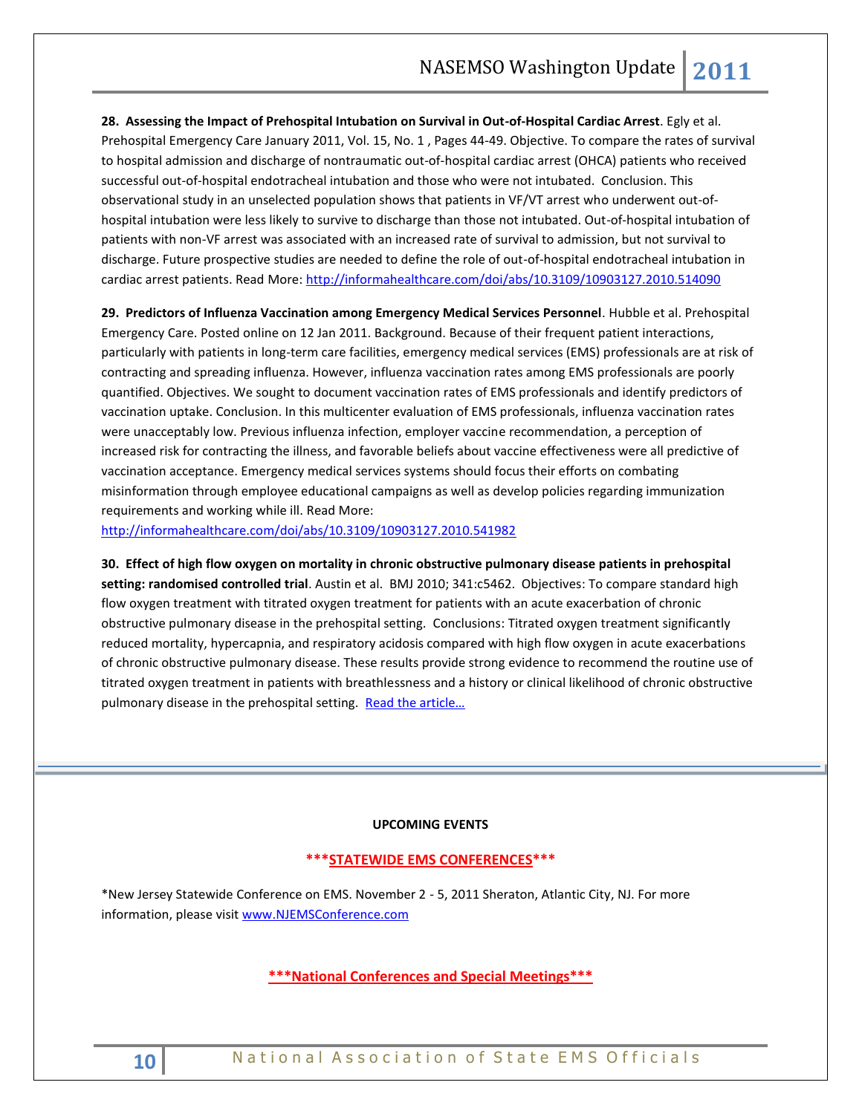**28. Assessing the Impact of Prehospital Intubation on Survival in Out-of-Hospital Cardiac Arrest**. Egly et al. Prehospital Emergency Care January 2011, Vol. 15, No. 1 , Pages 44-49. Objective. To compare the rates of survival to hospital admission and discharge of nontraumatic out-of-hospital cardiac arrest (OHCA) patients who received successful out-of-hospital endotracheal intubation and those who were not intubated. Conclusion. This observational study in an unselected population shows that patients in VF/VT arrest who underwent out-ofhospital intubation were less likely to survive to discharge than those not intubated. Out-of-hospital intubation of patients with non-VF arrest was associated with an increased rate of survival to admission, but not survival to discharge. Future prospective studies are needed to define the role of out-of-hospital endotracheal intubation in cardiac arrest patients. Read More[: http://informahealthcare.com/doi/abs/10.3109/10903127.2010.514090](http://informahealthcare.com/doi/abs/10.3109/10903127.2010.514090)

**29. Predictors of Influenza Vaccination among Emergency Medical Services Personnel**. Hubble et al. Prehospital Emergency Care. Posted online on 12 Jan 2011. Background. Because of their frequent patient interactions, particularly with patients in long-term care facilities, emergency medical services (EMS) professionals are at risk of contracting and spreading influenza. However, influenza vaccination rates among EMS professionals are poorly quantified. Objectives. We sought to document vaccination rates of EMS professionals and identify predictors of vaccination uptake. Conclusion. In this multicenter evaluation of EMS professionals, influenza vaccination rates were unacceptably low. Previous influenza infection, employer vaccine recommendation, a perception of increased risk for contracting the illness, and favorable beliefs about vaccine effectiveness were all predictive of vaccination acceptance. Emergency medical services systems should focus their efforts on combating misinformation through employee educational campaigns as well as develop policies regarding immunization requirements and working while ill. Read More:

<http://informahealthcare.com/doi/abs/10.3109/10903127.2010.541982>

**30. Effect of high flow oxygen on mortality in chronic obstructive pulmonary disease patients in prehospital setting: randomised controlled trial**. Austin et al. BMJ 2010; 341:c5462. Objectives: To compare standard high flow oxygen treatment with titrated oxygen treatment for patients with an acute exacerbation of chronic obstructive pulmonary disease in the prehospital setting. Conclusions: Titrated oxygen treatment significantly reduced mortality, hypercapnia, and respiratory acidosis compared with high flow oxygen in acute exacerbations of chronic obstructive pulmonary disease. These results provide strong evidence to recommend the routine use of titrated oxygen treatment in patients with breathlessness and a history or clinical likelihood of chronic obstructive pulmonary disease in the prehospital setting. Read the article...

#### **UPCOMING EVENTS**

## **\*\*\*STATEWIDE EMS CONFERENCES\*\*\***

\*New Jersey Statewide Conference on EMS. November 2 - 5, 2011 Sheraton, Atlantic City, NJ. For more information, please visit [www.NJEMSConference.com](http://www.njemsconference.com/)

## **\*\*\*National Conferences and Special Meetings\*\*\***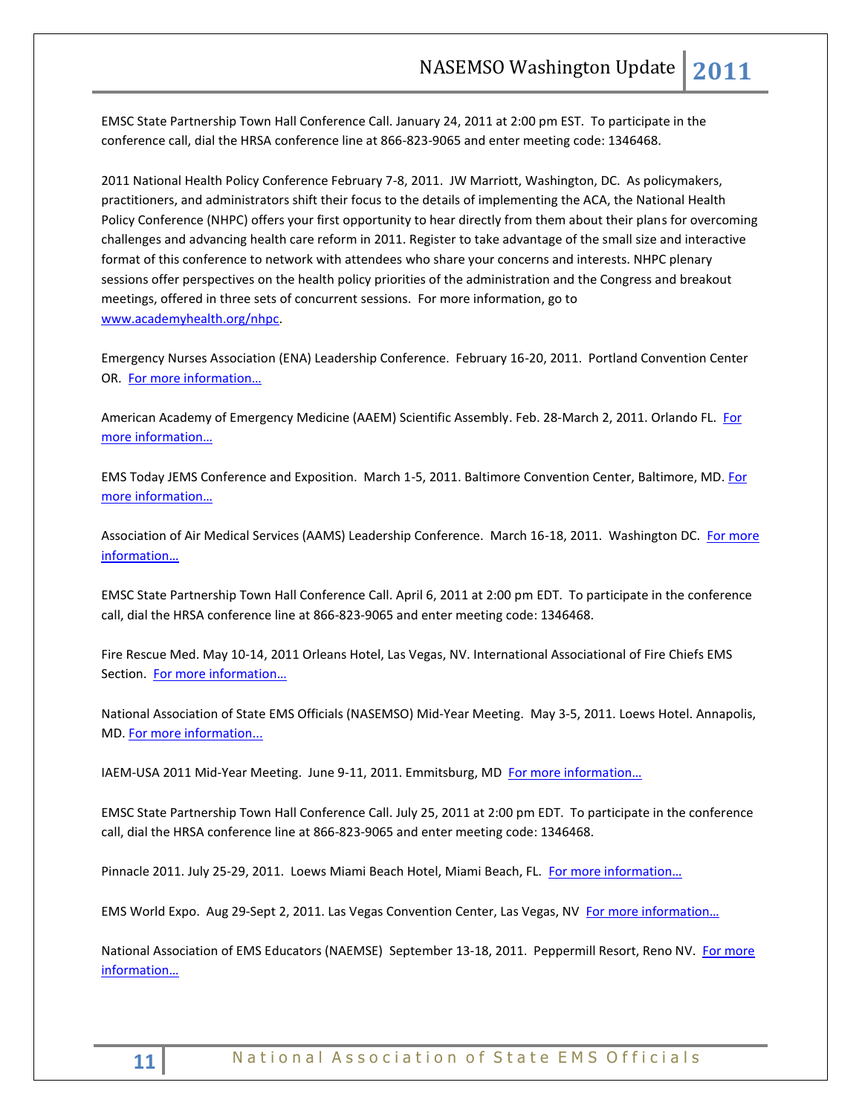EMSC State Partnership Town Hall Conference Call. January 24, 2011 at 2:00 pm EST. To participate in the conference call, dial the HRSA conference line at 866-823-9065 and enter meeting code: 1346468.

2011 National Health Policy Conference February 7-8, 2011. JW Marriott, Washington, DC. As policymakers, practitioners, and administrators shift their focus to the details of implementing the ACA, the National Health Policy Conference (NHPC) offers your first opportunity to hear directly from them about their plans for overcoming challenges and advancing health care reform in 2011. Register to take advantage of the small size and interactive format of this conference to network with attendees who share your concerns and interests. NHPC plenary sessions offer perspectives on the health policy priorities of the administration and the Congress and breakout meetings, offered in three sets of concurrent sessions. For more information, go to [www.academyhealth.org/nhpc.](http://www.academyhealth.org/nhpc)

Emergency Nurses Association (ENA) Leadership Conference. February 16-20, 2011. Portland Convention Center OR. [For more information…](http://www.ena.org/)

American Academy of Emergency Medicine (AAEM) Scientific Assembly. Feb. 28-March 2, 2011. Orlando FL. For [more information…](http://www.aaem.org/education/scientificassembly/)

EMS Today JEMS Conference and Exposition. March 1-5, 2011. Baltimore Convention Center, Baltimore, MD[. For](http://www.emstoday.com/)  [more information…](http://www.emstoday.com/)

Association of Air Medical Services (AAMS) Leadership Conference. March 16-18, 2011. Washington DC. [For more](http://www.aams.org/)  [information…](http://www.aams.org/)

EMSC State Partnership Town Hall Conference Call. April 6, 2011 at 2:00 pm EDT. To participate in the conference call, dial the HRSA conference line at 866-823-9065 and enter meeting code: 1346468.

Fire Rescue Med. May 10-14, 2011 Orleans Hotel, Las Vegas, NV. International Associational of Fire Chiefs EMS Section. [For more information…](http://www.iafc.org/displaycommon.cfm?an=1&subarticlenbr=6)

National Association of State EMS Officials (NASEMSO) Mid-Year Meeting. May 3-5, 2011. Loews Hotel. Annapolis, MD[. For more information...](http://www.nasemso.org/)

IAEM-USA 2011 Mid-Year Meeting. June 9-11, 2011. Emmitsburg, MD For more information...

EMSC State Partnership Town Hall Conference Call. July 25, 2011 at 2:00 pm EDT. To participate in the conference call, dial the HRSA conference line at 866-823-9065 and enter meeting code: 1346468.

Pinnacle 2011. July 25-29, 2011. Loews Miami Beach Hotel, Miami Beach, FL. For more information...

EMS World Expo. Aug 29-Sept 2, 2011. Las Vegas Convention Center, Las Vegas, NV For more information...

National Association of EMS Educators (NAEMSE) September 13-18, 2011. Peppermill Resort, Reno NV. For more [information…](http://www.naemse.org/symposium)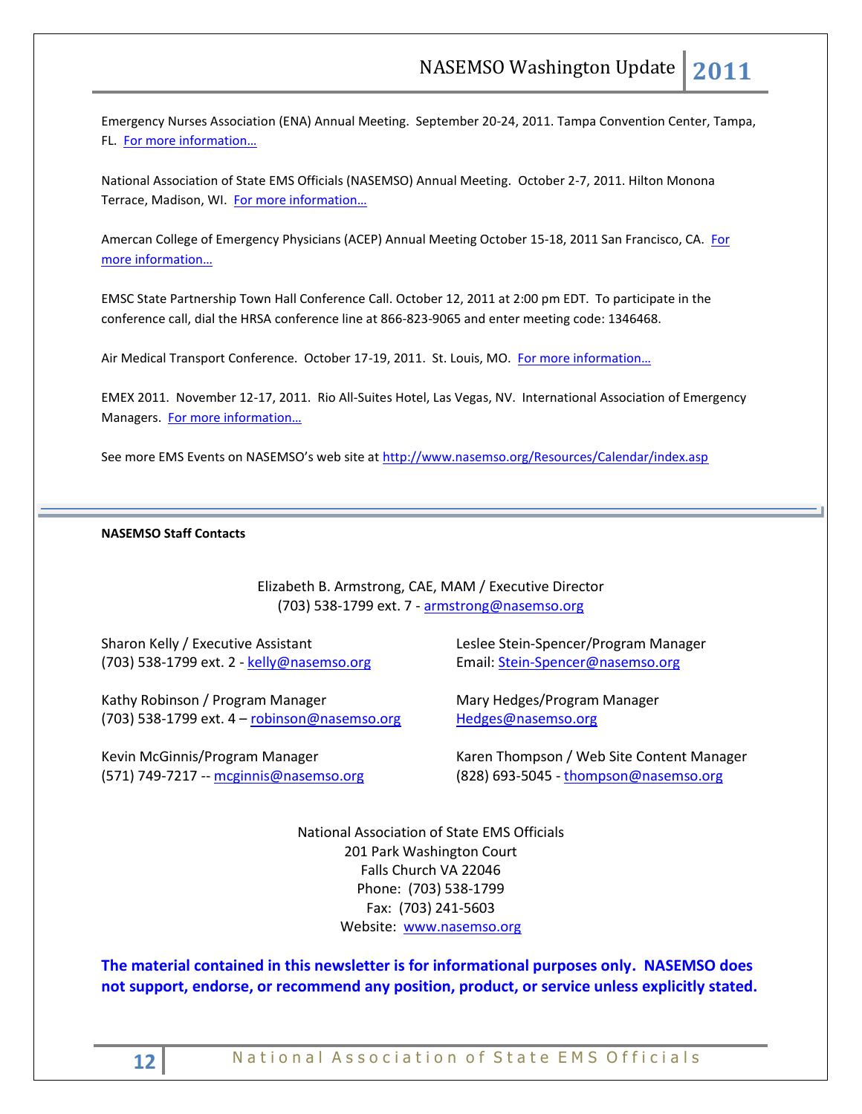Emergency Nurses Association (ENA) Annual Meeting. September 20-24, 2011. Tampa Convention Center, Tampa, FL. [For more information…](http://www.ena.org/Pages/default.aspx)

National Association of State EMS Officials (NASEMSO) Annual Meeting. October 2-7, 2011. Hilton Monona Terrace, Madison, WI. [For more information…](http://www.nasemso.org/)

Amercan College of Emergency Physicians (ACEP) Annual Meeting October 15-18, 2011 San Francisco, CA. For [more information…](http://www.acep.org/)

EMSC State Partnership Town Hall Conference Call. October 12, 2011 at 2:00 pm EDT. To participate in the conference call, dial the HRSA conference line at 866-823-9065 and enter meeting code: 1346468.

Air Medical Transport Conference. October 17-19, 2011. St. Louis, MO. [For more information…](http://www.aams.org/)

EMEX 2011. November 12-17, 2011. Rio All-Suites Hotel, Las Vegas, NV. International Association of Emergency Managers. [For more information…](http://www.iaem.com/)

See more EMS Events on NASEMSO's web site at <http://www.nasemso.org/Resources/Calendar/index.asp>

#### **NASEMSO Staff Contacts**

Elizabeth B. Armstrong, CAE, MAM / Executive Director (703) 538-1799 ext. 7 - [armstrong@nasemso.org](mailto:armstrong@nasemso.org)

Sharon Kelly / Executive Assistant (703) 538-1799 ext. 2 - [kelly@nasemso.org](mailto:kelly@nasemso.org)

Kathy Robinson / Program Manager (703) 538-1799 ext. 4 – [robinson@nasemso.org](mailto:robinson@nasemso.org)

Kevin McGinnis/Program Manager (571) 749-7217 -- [mcginnis@nasemso.org](mailto:mcginnis@nasemso.org) Leslee Stein-Spencer/Program Manager Email: [Stein-Spencer@nasemso.org](mailto:Stein-Spencer@nasemso.org)

Mary Hedges/Program Manager [Hedges@nasemso.org](mailto:Hedges@nasemso.org)

Karen Thompson / Web Site Content Manager  $(828)$  693-5045 - [thompson@nasemso.org](mailto:thompson@nasemso.org)

National Association of State EMS Officials 201 Park Washington Court Falls Church VA 22046 Phone: (703) 538-1799 Fax: (703) 241-5603 Website: [www.nasemso.org](http://www.nasemso.org/)

**The material contained in this newsletter is for informational purposes only. NASEMSO does not support, endorse, or recommend any position, product, or service unless explicitly stated.**